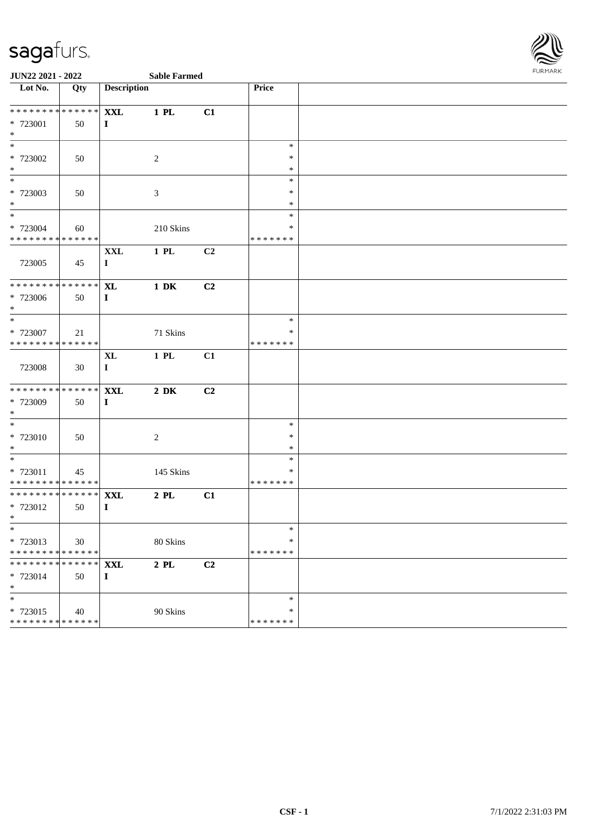

| Lot No.                                 | Qty | <b>Description</b> |                  |    | Price              |  |
|-----------------------------------------|-----|--------------------|------------------|----|--------------------|--|
| * * * * * * * * * * * * * *             |     | <b>XXL</b>         | $1$ PL           | C1 |                    |  |
| * 723001                                | 50  | $\bf{I}$           |                  |    |                    |  |
| $*$                                     |     |                    |                  |    |                    |  |
| $\overline{\phantom{a}^*}$              |     |                    |                  |    | $\ast$             |  |
| * 723002                                | 50  |                    | $\overline{2}$   |    | $\ast$             |  |
| $*$                                     |     |                    |                  |    | $\ast$             |  |
| $\ast$                                  |     |                    |                  |    | $\ast$             |  |
| * 723003                                | 50  |                    | $\mathfrak{Z}$   |    | $\ast$             |  |
| $*$<br>$\frac{1}{*}$                    |     |                    |                  |    | $\ast$             |  |
|                                         |     |                    |                  |    | $\ast$             |  |
| * 723004                                | 60  |                    | 210 Skins        |    | *<br>* * * * * * * |  |
| * * * * * * * * * * * * * *             |     |                    |                  |    |                    |  |
|                                         |     | <b>XXL</b>         | $1$ PL           | C2 |                    |  |
| 723005                                  | 45  | $\bf{I}$           |                  |    |                    |  |
| ******** <mark>******</mark>            |     | <b>XL</b>          | $1\ \mathrm{DK}$ | C2 |                    |  |
| * 723006                                | 50  | $\bf{I}$           |                  |    |                    |  |
| $\ast$                                  |     |                    |                  |    |                    |  |
| $\frac{1}{*}$                           |     |                    |                  |    | $\ast$             |  |
| * 723007                                | 21  |                    | 71 Skins         |    | *                  |  |
| * * * * * * * * * * * * * *             |     |                    |                  |    | * * * * * * *      |  |
|                                         |     | $\mathbf{XL}$      | $1\,$ PL         | C1 |                    |  |
| 723008                                  | 30  | $\bf{I}$           |                  |    |                    |  |
|                                         |     |                    |                  |    |                    |  |
| * * * * * * * * * * * * * *             |     | <b>XXL</b>         | $2\ \mathrm{DK}$ | C2 |                    |  |
| * 723009                                | 50  | $\bf{I}$           |                  |    |                    |  |
| $\ast$<br>$\overline{\phantom{a}^*}$    |     |                    |                  |    |                    |  |
|                                         |     |                    |                  |    | $\ast$             |  |
| * 723010                                | 50  |                    | $\sqrt{2}$       |    | $\ast$             |  |
| $\ast$<br>$\overline{\phantom{a}^*}$    |     |                    |                  |    | $\ast$             |  |
|                                         |     |                    |                  |    | $\ast$             |  |
| * 723011<br>* * * * * * * * * * * * * * | 45  |                    | 145 Skins        |    | ∗<br>* * * * * * * |  |
| **************                          |     | <b>XXL</b>         | $2$ PL           | C1 |                    |  |
| * 723012                                | 50  | $\mathbf{I}$       |                  |    |                    |  |
| $*$                                     |     |                    |                  |    |                    |  |
| $*$                                     |     |                    |                  |    | ∗                  |  |
| * 723013                                | 30  |                    | 80 Skins         |    | *                  |  |
| * * * * * * * * * * * * * *             |     |                    |                  |    | * * * * * * *      |  |
| * * * * * * * * * * * * * *             |     | <b>XXL</b>         | $2$ PL $\,$      | C2 |                    |  |
| * 723014                                | 50  | $\mathbf I$        |                  |    |                    |  |
| $\ast$                                  |     |                    |                  |    |                    |  |
| $\ast$                                  |     |                    |                  |    | $\ast$             |  |
| * 723015                                | 40  |                    | 90 Skins         |    | ∗                  |  |
| **************                          |     |                    |                  |    | * * * * * * *      |  |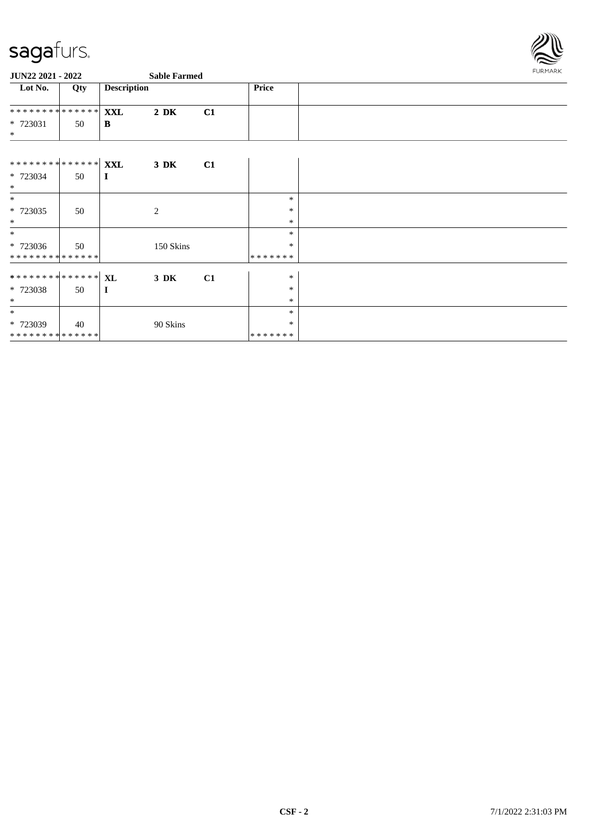

| <b>JUN22 2021 - 2022</b>                 |     |                    | <b>Sable Farmed</b> | FURMARK |         |  |
|------------------------------------------|-----|--------------------|---------------------|---------|---------|--|
| Lot No.                                  | Qty | <b>Description</b> |                     |         | Price   |  |
| ******** <mark>******</mark>             |     | <b>XXL</b>         | $2\,$ DK            | C1      |         |  |
| * 723031<br>$*$                          | 50  | B                  |                     |         |         |  |
|                                          |     |                    |                     |         |         |  |
|                                          |     |                    | $3\ \mathrm{DK}$    | C1      |         |  |
| * 723034<br>$\ast$                       | 50  | $\bf{I}$           |                     |         |         |  |
| $*$                                      |     |                    |                     |         | $\ast$  |  |
| * 723035                                 | 50  |                    | 2                   |         | $\ast$  |  |
| $*$                                      |     |                    |                     |         | $\ast$  |  |
| $\ast$                                   |     |                    |                     |         | $\ast$  |  |
| $* 723036$                               | 50  |                    | 150 Skins           |         | $\ast$  |  |
| **************                           |     |                    |                     |         | ******* |  |
| ******** <sup>*</sup> ****** <sup></sup> |     |                    | 3 DK                | C1      | $\ast$  |  |
| * 723038                                 | 50  | $\bf{I}$           |                     |         | $\ast$  |  |
| $\ast$                                   |     |                    |                     |         | $\ast$  |  |
| $\ast$                                   |     |                    |                     |         | $\ast$  |  |
| * 723039                                 | 40  |                    | 90 Skins            |         | *       |  |
| **************                           |     |                    |                     |         | ******* |  |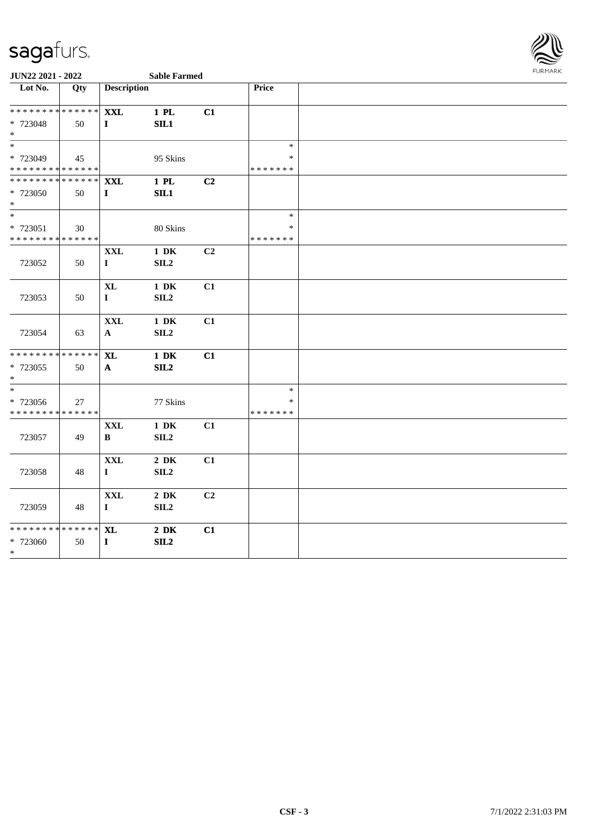

| Lot No.                                 | Qty | <b>Description</b> |                  |    | Price                   |  |
|-----------------------------------------|-----|--------------------|------------------|----|-------------------------|--|
| **************                          |     | <b>XXL</b>         | 1 PL             | C1 |                         |  |
| * 723048                                | 50  | $\mathbf{I}$       | SL1              |    |                         |  |
| $\ast$                                  |     |                    |                  |    |                         |  |
| $\overline{\phantom{a}^*}$              |     |                    |                  |    | $\ast$                  |  |
| * 723049                                | 45  |                    | 95 Skins         |    | $\ast$                  |  |
| * * * * * * * * * * * * * *             |     |                    |                  |    | * * * * * * *           |  |
| * * * * * * * * * * * * * *             |     | <b>XXL</b>         | 1 PL             | C2 |                         |  |
| * 723050                                | 50  | $\mathbf{I}$       | SL1              |    |                         |  |
| $*$<br>$\overline{\phantom{a}^*}$       |     |                    |                  |    |                         |  |
|                                         |     |                    |                  |    | $\ast$                  |  |
| * 723051                                | 30  |                    | 80 Skins         |    | $\ast$                  |  |
| * * * * * * * * * * * * * *             |     |                    |                  |    | * * * * * * *           |  |
|                                         |     | <b>XXL</b>         | $1\,$ DK         | C2 |                         |  |
| 723052                                  | 50  | $\mathbf I$        | SLL2             |    |                         |  |
|                                         |     | <b>XL</b>          | $1\ \mathrm{DK}$ | C1 |                         |  |
| 723053                                  | 50  | $\mathbf{I}$       | SIL <sub>2</sub> |    |                         |  |
|                                         |     |                    |                  |    |                         |  |
|                                         |     | <b>XXL</b>         | $1\,$ DK         | C1 |                         |  |
| 723054                                  | 63  | $\mathbf{A}$       | SL2              |    |                         |  |
|                                         |     |                    |                  |    |                         |  |
| * * * * * * * * * * * * * *             |     | <b>XL</b>          | $1\ \mathrm{DK}$ | C1 |                         |  |
| * 723055                                | 50  | $\mathbf{A}$       | SL2              |    |                         |  |
| $\ast$                                  |     |                    |                  |    |                         |  |
| $\ast$                                  |     |                    |                  |    | $\ast$                  |  |
| * 723056<br>* * * * * * * * * * * * * * | 27  |                    | 77 Skins         |    | $\ast$<br>* * * * * * * |  |
|                                         |     |                    |                  |    |                         |  |
|                                         |     | <b>XXL</b>         | $1\,$ DK         | C1 |                         |  |
| 723057                                  | 49  | B                  | SL2              |    |                         |  |
|                                         |     | <b>XXL</b>         | $2\,$ DK         | C1 |                         |  |
| 723058                                  | 48  | $\mathbf I$        | SLL2             |    |                         |  |
|                                         |     |                    |                  |    |                         |  |
|                                         |     | <b>XXL</b>         | $2\,$ DK         | C2 |                         |  |
| 723059                                  | 48  | $\mathbf I$        | SL2              |    |                         |  |
|                                         |     |                    |                  |    |                         |  |
| * * * * * * * * * * * * * *             |     | $\bold{X}\bold{L}$ | $2\ \mathrm{DK}$ | C1 |                         |  |
| * 723060                                | 50  | $\mathbf I$        | SL2              |    |                         |  |
| $*$                                     |     |                    |                  |    |                         |  |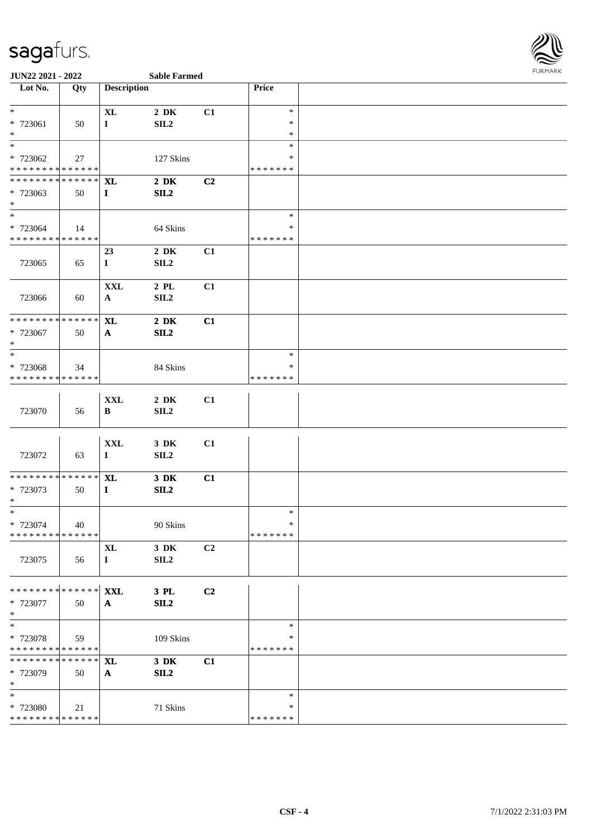

| Lot No.                                    | Qty         | <b>Description</b> |                  |                | Price            |  |
|--------------------------------------------|-------------|--------------------|------------------|----------------|------------------|--|
| $*$                                        |             |                    |                  |                |                  |  |
|                                            |             | <b>XL</b>          | $2\,$ DK         | C1             | $\ast$           |  |
| * 723061<br>$*$                            | 50          | $\mathbf I$        | SL2              |                | $\ast$           |  |
| $\ast$                                     |             |                    |                  |                | $\ast$<br>$\ast$ |  |
|                                            |             |                    |                  |                | ∗                |  |
| * 723062<br>******** <mark>******</mark>   | 27          |                    | 127 Skins        |                | * * * * * * *    |  |
| * * * * * * * * <mark>* * * * * * *</mark> |             |                    |                  |                |                  |  |
|                                            |             | <b>XL</b>          | $2\,$ DK         | C <sub>2</sub> |                  |  |
| * 723063<br>$\ast$                         | 50          | $\mathbf{I}$       | SL2              |                |                  |  |
| $\ast$                                     |             |                    |                  |                | $\ast$           |  |
| * 723064                                   | 14          |                    | 64 Skins         |                | $\ast$           |  |
| ******** <mark>******</mark>               |             |                    |                  |                | * * * * * * *    |  |
|                                            |             | 23                 | $2\,$ DK         | C1             |                  |  |
| 723065                                     | 65          | $\mathbf{I}$       | SL2              |                |                  |  |
|                                            |             |                    |                  |                |                  |  |
|                                            |             | <b>XXL</b>         | $2\,$ PL $\,$    | C1             |                  |  |
| 723066                                     | 60          | $\mathbf{A}$       | SL2              |                |                  |  |
|                                            |             |                    |                  |                |                  |  |
| ******** <mark>******</mark>               |             | <b>XL</b>          | $2\,$ DK         | C1             |                  |  |
| * 723067                                   | 50          | $\mathbf{A}$       | SL2              |                |                  |  |
| $*$                                        |             |                    |                  |                |                  |  |
| $*$                                        |             |                    |                  |                | $\ast$           |  |
| * 723068                                   | 34          |                    | 84 Skins         |                | ∗                |  |
| ******** <mark>******</mark>               |             |                    |                  |                | * * * * * * *    |  |
|                                            |             |                    |                  |                |                  |  |
|                                            |             | $\mathbf{XXL}$     | $2\ \mathrm{DK}$ | C1             |                  |  |
| 723070                                     | 56          | B                  | SL2              |                |                  |  |
|                                            |             |                    |                  |                |                  |  |
|                                            |             |                    |                  |                |                  |  |
| 723072                                     |             | <b>XXL</b>         | 3 DK             | C1             |                  |  |
|                                            | 63          | $\bf{I}$           | SL2              |                |                  |  |
| * * * * * * * * * * * * * *                |             | <b>XL</b>          | $3$ DK           | C1             |                  |  |
| * 723073                                   | 50          | $\mathbf{I}$       | SL2              |                |                  |  |
| $\ast$                                     |             |                    |                  |                |                  |  |
| $*$                                        |             |                    |                  |                | $\ast$           |  |
| * 723074                                   | 40          |                    | 90 Skins         |                | $\ast$           |  |
| * * * * * * * * * * * * * *                |             |                    |                  |                | * * * * * * *    |  |
|                                            |             | <b>XL</b>          | 3 DK             | C2             |                  |  |
| 723075                                     | 56          | $\bf{I}$           | SL2              |                |                  |  |
|                                            |             |                    |                  |                |                  |  |
|                                            |             |                    |                  |                |                  |  |
| ******** <mark>******</mark>               |             | <b>XXL</b>         | 3 PL             | C2             |                  |  |
| * 723077                                   | 50          | $\mathbf{A}$       | SL2              |                |                  |  |
| $*$                                        |             |                    |                  |                |                  |  |
| $\ast$                                     |             |                    |                  |                | $\ast$           |  |
| * 723078                                   | 59          |                    | 109 Skins        |                | $\ast$           |  |
| * * * * * * * * * * * * * *                |             |                    |                  |                | * * * * * * *    |  |
| * * * * * * * *                            | * * * * * * | <b>XL</b>          | 3 DK             | C1             |                  |  |
| * 723079                                   | 50          | $\mathbf{A}$       | SL2              |                |                  |  |
| $*$                                        |             |                    |                  |                |                  |  |
| $\ast$                                     |             |                    |                  |                | $\ast$<br>∗      |  |
| * 723080<br>* * * * * * * * * * * * * *    | 21          |                    | 71 Skins         |                | * * * * * * *    |  |
|                                            |             |                    |                  |                |                  |  |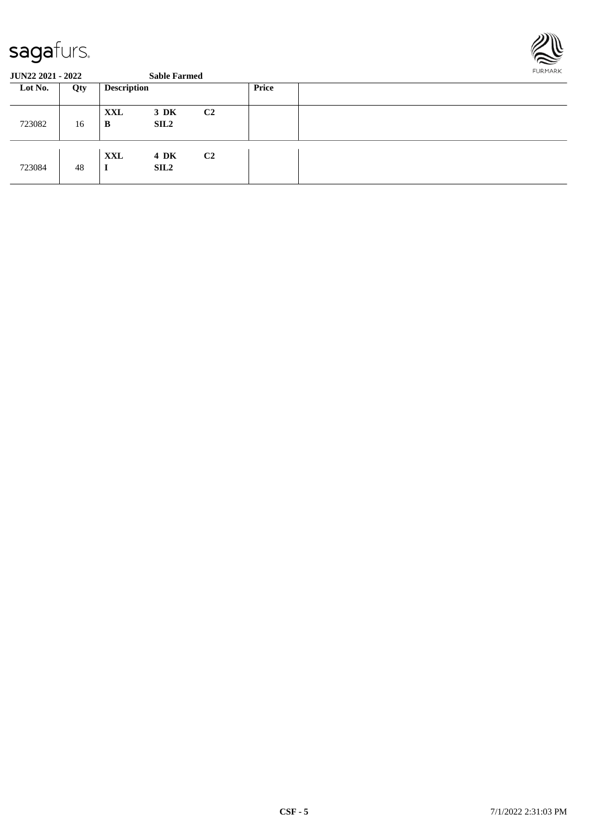

| Lot No. | Qty | <b>Description</b> |                     |                | <b>Price</b> |  |
|---------|-----|--------------------|---------------------|----------------|--------------|--|
| 723082  | 16  | <b>XXL</b><br>B    | 3 DK<br>SL2         | C <sub>2</sub> |              |  |
| 723084  | 48  | XXL<br>$\bf{l}$    | 4 DK<br><b>SIL2</b> | C <sub>2</sub> |              |  |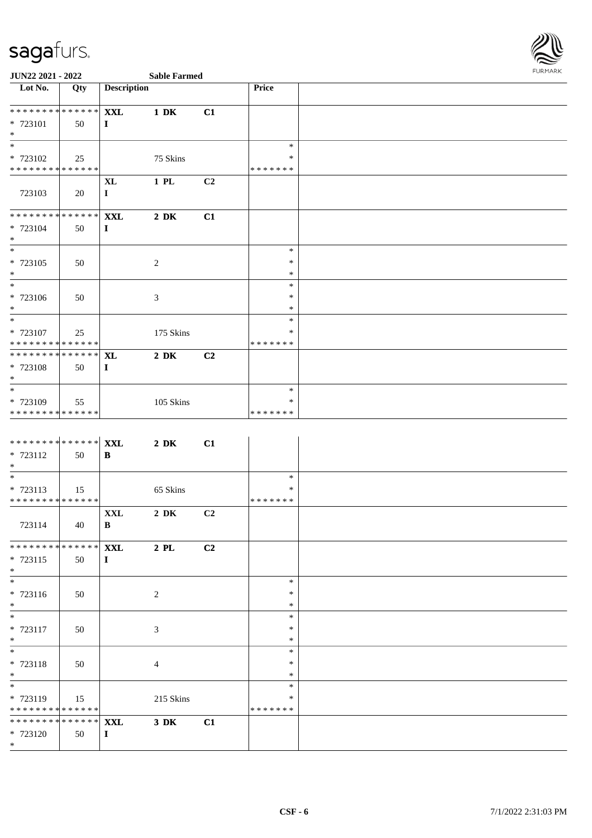

| $\overline{\phantom{1}}$ Lot No. | Qty | <b>Description</b> |                  |                | Price         |  |
|----------------------------------|-----|--------------------|------------------|----------------|---------------|--|
|                                  |     |                    |                  |                |               |  |
| *************** <b>XXL</b>       |     |                    | $1\ \mathrm{DK}$ | C1             |               |  |
| * 723101                         | 50  | $\mathbf I$        |                  |                |               |  |
| $\ast$                           |     |                    |                  |                |               |  |
| $\ast$                           |     |                    |                  |                | $\ast$        |  |
| * 723102                         | 25  |                    | 75 Skins         |                | $\ast$        |  |
| * * * * * * * * * * * * * *      |     |                    |                  |                | *******       |  |
|                                  |     | <b>XL</b>          | $1$ PL           | C <sub>2</sub> |               |  |
| 723103                           | 20  | $\mathbf I$        |                  |                |               |  |
|                                  |     |                    |                  |                |               |  |
| **************                   |     | <b>XXL</b>         | $2\ \mathrm{DK}$ | C1             |               |  |
| * 723104                         | 50  | I                  |                  |                |               |  |
| $\ast$                           |     |                    |                  |                |               |  |
| $\ast$                           |     |                    |                  |                | $\ast$        |  |
| * 723105                         | 50  |                    | $\overline{c}$   |                | $\ast$        |  |
| $\ast$                           |     |                    |                  |                | $\ast$        |  |
| $*$                              |     |                    |                  |                | $\ast$        |  |
| * 723106                         | 50  |                    | 3                |                | $\ast$        |  |
| $\ast$                           |     |                    |                  |                | $\ast$        |  |
| $\ast$                           |     |                    |                  |                | $\ast$        |  |
| * 723107                         | 25  |                    | 175 Skins        |                | ∗             |  |
| **************                   |     |                    |                  |                | * * * * * * * |  |
| ******** <mark>******</mark>     |     | <b>XL</b>          | $2\ \mathrm{DK}$ | C <sub>2</sub> |               |  |
| * 723108                         | 50  | $\mathbf I$        |                  |                |               |  |
| $\ast$                           |     |                    |                  |                |               |  |
| $\ast$                           |     |                    |                  |                | $\ast$        |  |
| * 723109                         | 55  |                    | $105$ Skins      |                | *             |  |
| ******** <mark>******</mark>     |     |                    |                  |                | * * * * * * * |  |

| ********* <sup>*******</sup> XXL |      |             | $2\,$ DK       | C1 |         |  |
|----------------------------------|------|-------------|----------------|----|---------|--|
| * 723112                         | 50   | B           |                |    |         |  |
| $*$                              |      |             |                |    |         |  |
| $*$                              |      |             |                |    | $\ast$  |  |
| $* 723113$                       | 15   |             | 65 Skins       |    | ∗       |  |
| **************                   |      |             |                |    | ******* |  |
|                                  |      | <b>XXL</b>  | $2\,$ DK       | C2 |         |  |
| 723114                           | - 40 | B           |                |    |         |  |
|                                  |      |             |                |    |         |  |
| **************                   |      | <b>XXL</b>  | $2$ PL         | C2 |         |  |
| $* 723115$                       | 50   | $\bf{I}$    |                |    |         |  |
| $*$                              |      |             |                |    |         |  |
| $*$                              |      |             |                |    | $\ast$  |  |
| $* 723116$                       | 50   |             | 2              |    | $\ast$  |  |
| $*$                              |      |             |                |    | $\ast$  |  |
| $*$                              |      |             |                |    | $\ast$  |  |
| $* 723117$                       | 50   |             | $\mathfrak{Z}$ |    | $\ast$  |  |
| $*$                              |      |             |                |    | $\ast$  |  |
| $*$                              |      |             |                |    | $\ast$  |  |
| * 723118                         | 50   |             | $\overline{4}$ |    | $\ast$  |  |
| $*$                              |      |             |                |    | $\ast$  |  |
| $*$                              |      |             |                |    | $\ast$  |  |
| $* 723119$                       | 15   |             | 215 Skins      |    | $\ast$  |  |
| **************                   |      |             |                |    | ******* |  |
| ********* <sup>******</sup> XXL  |      |             | $3$ DK         | C1 |         |  |
| * 723120                         | 50   | $\mathbf I$ |                |    |         |  |
| $*$                              |      |             |                |    |         |  |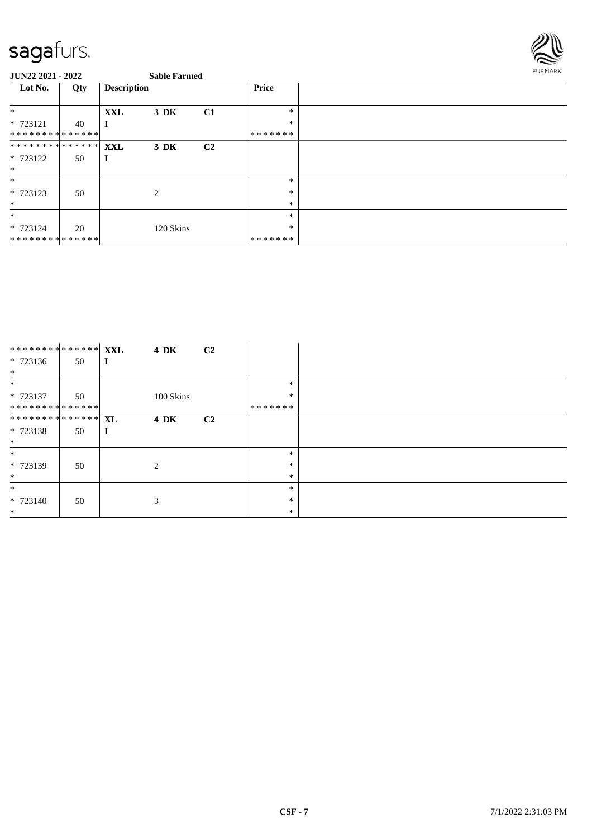

| $0011222021$ 2022                       |     |                    | <b>DUDIC L'ULILLE</b> |                |         |  |
|-----------------------------------------|-----|--------------------|-----------------------|----------------|---------|--|
| Lot No.                                 | Qty | <b>Description</b> |                       |                | Price   |  |
| $\ast$                                  |     | XXL                | $3\,$ DK              | C1             | $\ast$  |  |
| $* 723121$                              | 40  |                    |                       |                | $\ast$  |  |
| **************                          |     |                    |                       |                | ******* |  |
| ******** <mark>******</mark> <b>XXL</b> |     |                    | $3\,$ DK              | C <sub>2</sub> |         |  |
| * 723122                                | 50  |                    |                       |                |         |  |
| $\ast$                                  |     |                    |                       |                |         |  |
| $\ast$                                  |     |                    |                       |                | $\ast$  |  |
| * 723123                                | 50  |                    | 2                     |                | $\ast$  |  |
| $*$                                     |     |                    |                       |                | $\ast$  |  |
| $\ast$                                  |     |                    |                       |                | $\ast$  |  |
| * 723124                                | 20  |                    | 120 Skins             |                | $\ast$  |  |
| **************                          |     |                    |                       |                | ******* |  |

| ********* <sup>******</sup> <b>XXL</b> |    | <b>4 DK</b> | C <sub>2</sub> |               |  |
|----------------------------------------|----|-------------|----------------|---------------|--|
| $* 723136$                             | 50 |             |                |               |  |
| $\ast$                                 |    |             |                |               |  |
| $\ast$                                 |    |             |                | *             |  |
| * 723137                               | 50 | 100 Skins   |                | $\ast$        |  |
| **************                         |    |             |                | * * * * * * * |  |
| ******** <mark>******</mark> XL        |    | <b>4 DK</b> | C <sub>2</sub> |               |  |
| $* 723138$                             | 50 |             |                |               |  |
| $\ast$                                 |    |             |                |               |  |
| $\ast$                                 |    |             |                | $\ast$        |  |
| * 723139                               | 50 | 2           |                | $\ast$        |  |
| $\ast$                                 |    |             |                | $\ast$        |  |
| $\ast$                                 |    |             |                | *             |  |
| $* 723140$                             | 50 | 3           |                | $\ast$        |  |
| $*$                                    |    |             |                | $\ast$        |  |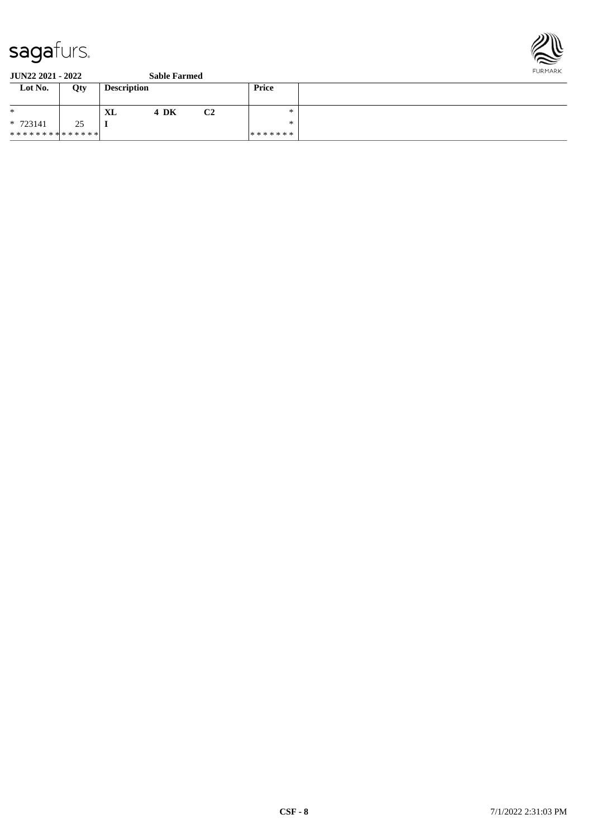

| Lot No.                       | Qty | <b>Description</b> |      |    | Price   |  |
|-------------------------------|-----|--------------------|------|----|---------|--|
| $\ast$                        |     | XL                 | 4 DK | C2 | ∗       |  |
| $* 723141$                    | 25  |                    |      |    | *       |  |
| * * * * * * * * * * * * * * * |     |                    |      |    | ******* |  |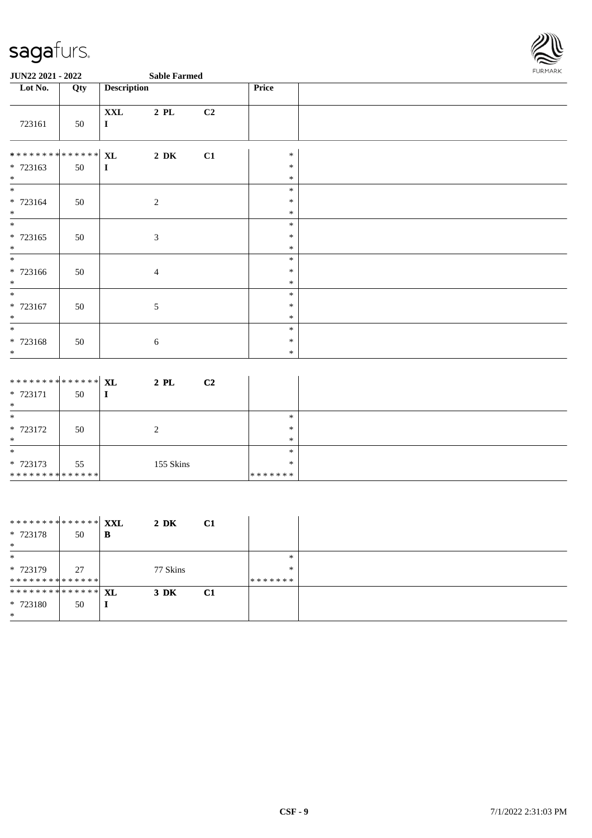

| Lot No.                                                          | Qty | <b>Description</b>        |          |    | Price                      |  |
|------------------------------------------------------------------|-----|---------------------------|----------|----|----------------------------|--|
| 723161                                                           | 50  | <b>XXL</b><br>$\mathbf I$ | $2$ PL   | C2 |                            |  |
| ******** <sup>*</sup> ****** <sup></sup> XL<br>$* 723163$<br>$*$ | 50  | $\bf I$                   | $2\,$ DK | C1 | $\ast$<br>$\ast$<br>$\ast$ |  |
| $*$<br>$* 723164$<br>$*$                                         | 50  | 2                         |          |    | $\ast$<br>$\ast$<br>$\ast$ |  |
| $*$<br>* 723165<br>$*$                                           | 50  | $\mathfrak{Z}$            |          |    | $\ast$<br>$\ast$<br>$\ast$ |  |
| $*$<br>* 723166<br>$\overline{\ }$                               | 50  | $\overline{4}$            |          |    | $\ast$<br>$\ast$<br>$\ast$ |  |
| $*$<br>* 723167<br>$\ast$                                        | 50  | 5                         |          |    | $\ast$<br>$\ast$<br>$\ast$ |  |
| $\ast$<br>$* 723168$<br>$*$                                      | 50  | 6                         |          |    | $\ast$<br>$\ast$<br>$\ast$ |  |

| ******** <mark>******</mark> XL |    | C <sub>2</sub><br>2 PL |         |  |
|---------------------------------|----|------------------------|---------|--|
| * 723171                        | 50 | ш                      |         |  |
| $\ast$                          |    |                        |         |  |
| $\ast$                          |    |                        | $*$     |  |
| * 723172                        | 50 | ∠                      | *       |  |
| $\ast$                          |    |                        | $\ast$  |  |
| $\ast$                          |    |                        | $*$     |  |
| $* 723173$                      | 55 | 155 Skins              | $\ast$  |  |
| * * * * * * * * * * * * * * *   |    |                        | ******* |  |

| ********* <mark>******</mark> <b>XXL</b> |    |   | 2 DK     | C <sub>1</sub> |         |  |
|------------------------------------------|----|---|----------|----------------|---------|--|
| $* 723178$                               | 50 | B |          |                |         |  |
| $\ast$                                   |    |   |          |                |         |  |
| $\ast$                                   |    |   |          |                | $*$     |  |
| * 723179                                 | 27 |   | 77 Skins |                | $*$     |  |
| **************                           |    |   |          |                | ******* |  |
| ******** <mark>******</mark> XL          |    |   | $3\,$ DK | C1             |         |  |
| $* 723180$                               | 50 |   |          |                |         |  |
| $\ast$                                   |    |   |          |                |         |  |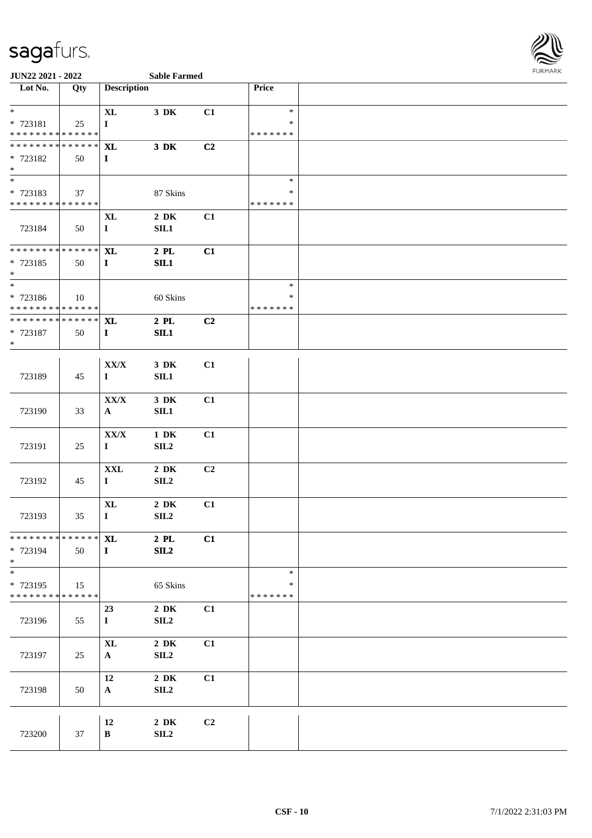

| Lot No.                                    | Qty | <b>Description</b> |                              |                | Price                   |  |
|--------------------------------------------|-----|--------------------|------------------------------|----------------|-------------------------|--|
| $*$                                        |     | $\mathbf{XL}$      | $3\,$ DK                     | C1             | $\ast$                  |  |
| * 723181                                   | 25  | $\bf{I}$           |                              |                | $\ast$                  |  |
| * * * * * * * * <mark>* * * * * * *</mark> |     |                    |                              |                | * * * * * * *           |  |
| ___<br>******** <mark>******</mark>        |     | <b>XL</b>          | $3\ \mathrm{DK}$             | C2             |                         |  |
| * 723182                                   | 50  | $\mathbf{I}$       |                              |                |                         |  |
| $*$<br>$\overline{\ }$                     |     |                    |                              |                |                         |  |
|                                            |     |                    |                              |                | $\ast$                  |  |
| * 723183<br>* * * * * * * * * * * * * *    | 37  |                    | 87 Skins                     |                | $\ast$<br>* * * * * * * |  |
|                                            |     | <b>XL</b>          | $2\,$ DK                     | C1             |                         |  |
| 723184                                     | 50  | $\mathbf{I}$       | SL1                          |                |                         |  |
|                                            |     |                    |                              |                |                         |  |
| * * * * * * * * * * * * * *                |     | <b>XL</b>          | $2$ PL $\,$                  | C1             |                         |  |
| * 723185                                   | 50  | $\mathbf{I}$       | SL1                          |                |                         |  |
| $*$                                        |     |                    |                              |                |                         |  |
| $*$                                        |     |                    |                              |                | $\ast$                  |  |
| * 723186<br>******** <mark>******</mark>   | 10  |                    | 60 Skins                     |                | $\ast$<br>* * * * * * * |  |
| * * * * * * * * * * * * * *                |     | <b>XL</b>          | $2$ PL $\,$                  | C <sub>2</sub> |                         |  |
| * 723187                                   | 50  | $\mathbf{I}$       | SL1                          |                |                         |  |
| $*$                                        |     |                    |                              |                |                         |  |
|                                            |     |                    |                              |                |                         |  |
|                                            |     | ${\bf XX/X}$       | 3 DK                         | C1             |                         |  |
| 723189                                     | 45  | $\mathbf{I}$       | SL1                          |                |                         |  |
|                                            |     | ${\bf XX/ X}$      |                              | C1             |                         |  |
| 723190                                     | 33  | $\mathbf{A}$       | 3 DK<br>SL1                  |                |                         |  |
|                                            |     |                    |                              |                |                         |  |
|                                            |     | ${\bf XX/ X}$      | $1\ \mathrm{DK}$             | C1             |                         |  |
| 723191                                     | 25  | $\mathbf I$        | SL2                          |                |                         |  |
|                                            |     |                    |                              |                |                         |  |
|                                            |     | $\mathbf{XXL}$     | $2\ \mathrm{DK}$             | C <sub>2</sub> |                         |  |
| 723192                                     | 45  | $\mathbf I$        | SL2                          |                |                         |  |
|                                            |     | $\bold{X}\bold{L}$ | $2\,$ DK                     | C1             |                         |  |
| 723193                                     | 35  | $\mathbf{I}$       | SLL2                         |                |                         |  |
|                                            |     |                    |                              |                |                         |  |
| ************** XL                          |     |                    | $2$ PL                       | C1             |                         |  |
| * 723194                                   | 50  | $\mathbf{I}$       | SL2                          |                |                         |  |
| $\ast$                                     |     |                    |                              |                |                         |  |
| $_{*}^{-}$                                 |     |                    |                              |                | $\ast$                  |  |
| * 723195<br>* * * * * * * * * * * * * *    | 15  |                    | 65 Skins                     |                | ∗<br>* * * * * * *      |  |
|                                            |     | 23                 | $2\,$ DK                     | C1             |                         |  |
| 723196                                     | 55  | $\mathbf{I}$       | SL2                          |                |                         |  |
|                                            |     |                    |                              |                |                         |  |
|                                            |     | <b>XL</b>          | $2\,$ DK                     | C1             |                         |  |
| 723197                                     | 25  | $\mathbf{A}$       | SL2                          |                |                         |  |
|                                            |     |                    |                              |                |                         |  |
|                                            |     | 12                 | $2\,$ DK                     | C1             |                         |  |
| 723198                                     | 50  | $\mathbf{A}$       | SL2                          |                |                         |  |
|                                            |     |                    |                              |                |                         |  |
|                                            |     | 12                 | $2\,$ DK                     | C2             |                         |  |
| 723200                                     | 37  | $\, {\bf B}$       | $\ensuremath{\mathrm{SIL2}}$ |                |                         |  |
|                                            |     |                    |                              |                |                         |  |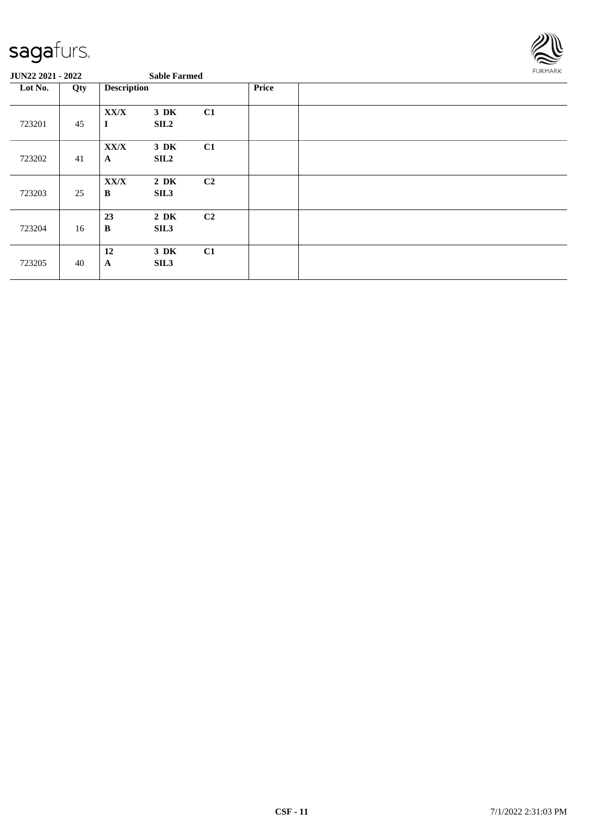

| O OTTAN HONT - HONN |     |                      | <b>Dabit Farmed</b>          |                |       |  |
|---------------------|-----|----------------------|------------------------------|----------------|-------|--|
| Lot No.             | Qty | <b>Description</b>   |                              |                | Price |  |
| 723201              | 45  | XX/X<br>$\bf{I}$     | $3\,$ DK<br>SIL <sub>2</sub> | C1             |       |  |
| 723202              | 41  | XX/X<br>$\mathbf{A}$ | 3 DK<br><b>SIL2</b>          | C1             |       |  |
| 723203              | 25  | XX/X<br>$\bf{B}$     | $2\,$ DK<br>SIL <sub>3</sub> | C <sub>2</sub> |       |  |
| 723204              | 16  | 23<br>$\bf{B}$       | $2\,$ DK<br>SIL <sub>3</sub> | C <sub>2</sub> |       |  |
| 723205              | 40  | 12<br>$\mathbf{A}$   | 3 DK<br>SIL <sub>3</sub>     | C1             |       |  |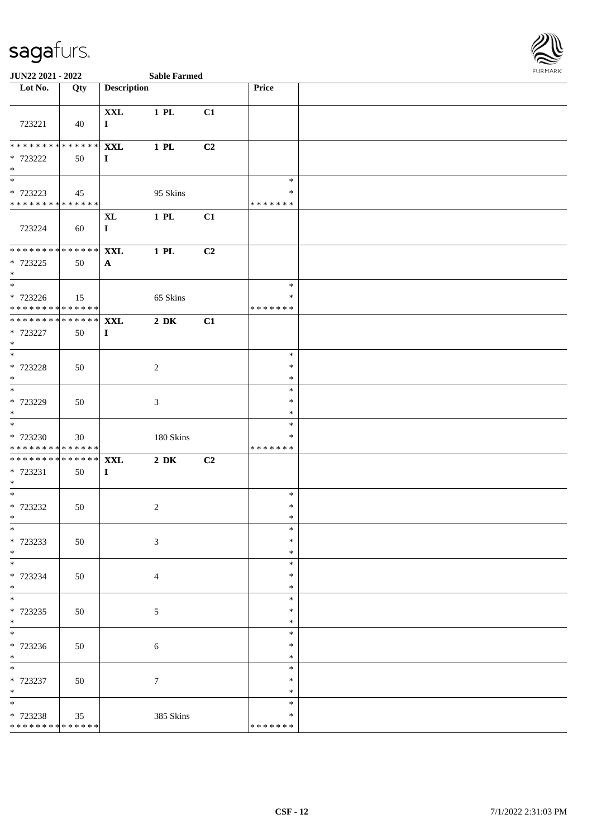

| Lot No.                                                       | Qty | <b>Description</b>         |                  |    | <b>Price</b>                      |  |
|---------------------------------------------------------------|-----|----------------------------|------------------|----|-----------------------------------|--|
| 723221                                                        | 40  | <b>XXL</b><br>$\bf{I}$     | 1 PL             | C1 |                                   |  |
| * * * * * * * * <mark>* * * * * * *</mark><br>* 723222<br>$*$ | 50  | <b>XXL</b><br>$\bf{I}$     | 1 PL             | C2 |                                   |  |
| * 723223<br>* * * * * * * * <mark>* * * * * *</mark> *        | 45  |                            | 95 Skins         |    | $\ast$<br>$\ast$<br>* * * * * * * |  |
| 723224                                                        | 60  | <b>XL</b><br>$\mathbf{I}$  | $1$ PL           | C1 |                                   |  |
| * * * * * * * * <mark>* * * * * * *</mark><br>* 723225<br>$*$ | 50  | <b>XXL</b><br>$\mathbf{A}$ | 1 PL             | C2 |                                   |  |
| $*$<br>* 723226<br>* * * * * * * * <mark>* * * * * * *</mark> | 15  |                            | 65 Skins         |    | $\ast$<br>$\ast$<br>* * * * * * * |  |
| **************<br>* 723227<br>$*$                             | 50  | <b>XXL</b><br>$\bf{I}$     | $2\ \mathrm{DK}$ | C1 |                                   |  |
| $\frac{1}{1}$<br>* 723228<br>$*$                              | 50  |                            | $\overline{2}$   |    | $\ast$<br>$\ast$<br>$\ast$        |  |
| * 723229<br>$*$                                               | 50  |                            | 3                |    | $\ast$<br>$\ast$<br>$\ast$        |  |
| * 723230<br>* * * * * * * * * * * * * * *                     | 30  |                            | 180 Skins        |    | $\ast$<br>*<br>* * * * * * *      |  |
| * * * * * * * * * * * * * * <mark>*</mark><br>* 723231<br>$*$ | 50  | <b>XXL</b><br>$\mathbf I$  | $2\ \mathrm{DK}$ | C2 |                                   |  |
| $*$<br>* 723232<br>$*$                                        | 50  |                            | 2                |    | $\ast$<br>$\ast$<br>$\ast$        |  |
| $*$<br>* 723233<br>$*$                                        | 50  |                            | 3                |    | $\ast$<br>$\ast$<br>∗             |  |
| $*$<br>* 723234<br>$*$                                        | 50  |                            | $\overline{4}$   |    | $\ast$<br>$\ast$<br>$\ast$        |  |
| * 723235<br>$*$                                               | 50  |                            | 5                |    | $\ast$<br>$\ast$<br>$\ast$        |  |
| $\overline{\phantom{0}}$<br>* 723236<br>$*$                   | 50  |                            | 6                |    | $\ast$<br>$\ast$<br>$\ast$        |  |
| * 723237<br>$*$                                               | 50  |                            | $\boldsymbol{7}$ |    | $\ast$<br>$\ast$<br>$\ast$        |  |
| $*$<br>* 723238<br>* * * * * * * * * * * * * *                | 35  |                            | 385 Skins        |    | $\ast$<br>$\ast$<br>* * * * * * * |  |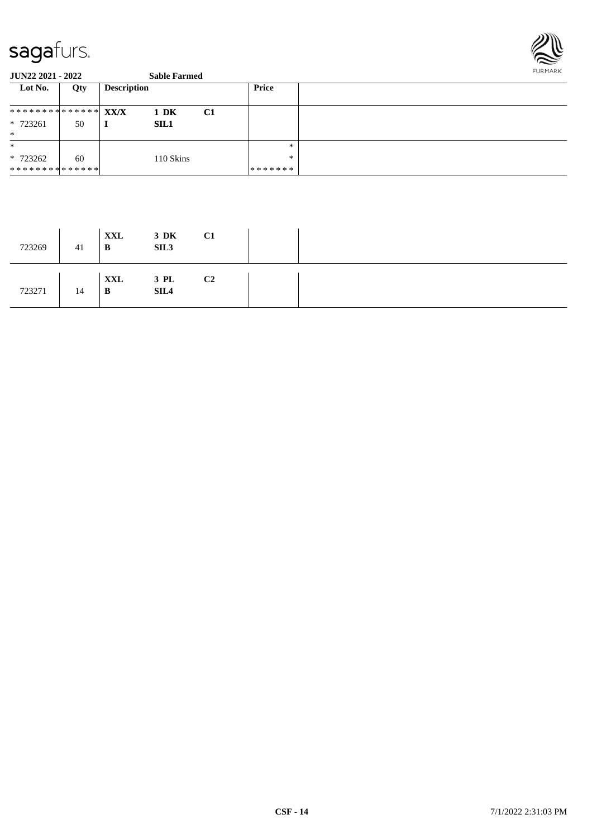

| Lot No.                         | Qty | <b>Description</b> |    | Price   |  |
|---------------------------------|-----|--------------------|----|---------|--|
|                                 |     |                    |    |         |  |
| ************** <mark>***</mark> |     | 1 DK               | C1 |         |  |
| * 723261                        | 50  | <b>SIL1</b>        |    |         |  |
| $\ast$                          |     |                    |    |         |  |
| $\ast$                          |     |                    |    | $\ast$  |  |
| * 723262                        | 60  | 110 Skins          |    | $\ast$  |  |
| * * * * * * * * * * * * * * *   |     |                    |    | ******* |  |

| 723269 | 41 | XXL<br>B | $3\,$ DK<br>SIL <sub>3</sub> | C <sub>1</sub> |  |
|--------|----|----------|------------------------------|----------------|--|
| 723271 | 14 | XXL<br>B | $3$ PL<br>SIL4               | C <sub>2</sub> |  |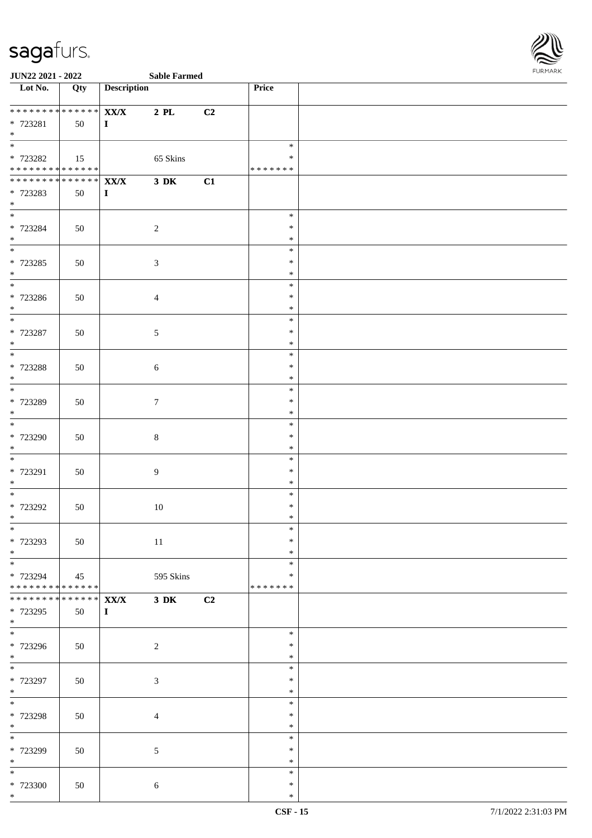

| Lot No.                                                     | Qty                 | <b>Description</b>   |                               |    | Price                                |  |
|-------------------------------------------------------------|---------------------|----------------------|-------------------------------|----|--------------------------------------|--|
| ******** <mark>******</mark><br>* 723281<br>$*$             | 50                  | XX/X<br>$\mathbf{I}$ | $2$ PL                        | C2 |                                      |  |
| * 723282<br>******** <mark>******</mark>                    | 15                  |                      | 65 Skins                      |    | $\ast$<br>$\ast$<br>* * * * * * *    |  |
| ************** <b>XX/X</b><br>* 723283<br>$*$               | 50                  | $\mathbf{I}$         | $3\ \mathrm{DK}$              | C1 |                                      |  |
| $*$<br>* 723284<br>$*$                                      | 50                  |                      | $\overline{2}$                |    | $\ast$<br>$\ast$<br>$\ast$           |  |
| * 723285<br>$*$                                             | 50                  |                      | $\mathfrak{Z}$                |    | $\ast$<br>$\ast$<br>$\ast$           |  |
| * 723286<br>$*$                                             | 50                  |                      | $\overline{4}$                |    | $\ast$<br>$\ast$<br>$\ast$           |  |
| * 723287<br>$*$<br>$\overline{\ }$                          | 50                  |                      | $\sqrt{5}$                    |    | $\ast$<br>$\ast$<br>$\ast$           |  |
| * 723288<br>$*$                                             | 50                  |                      | $\sqrt{6}$                    |    | $\ast$<br>$\ast$<br>$\ast$<br>$\ast$ |  |
| * 723289<br>$*$                                             | 50                  |                      | $\tau$                        |    | $\ast$<br>$\ast$<br>$\ast$           |  |
| * 723290<br>$*$                                             | 50                  |                      | $8\,$                         |    | $\ast$<br>$\ast$<br>$\ast$           |  |
| * 723291<br>$*$<br>$*$                                      | 50                  |                      | $\overline{9}$                |    | $\ast$<br>$\ast$<br>$\ast$           |  |
| * 723292<br>$\ast$<br>$*$                                   | 50                  |                      | 10                            |    | $\ast$<br>$\ast$<br>$\ast$           |  |
| * 723293<br>$*$<br>$*$                                      | 50                  |                      | 11                            |    | $\ast$<br>∗<br>$\ast$                |  |
| * 723294<br>******** <mark>******</mark><br>* * * * * * * * | 45<br>$******$ XX/X |                      | 595 Skins<br>$3\ \mathrm{DK}$ | C2 | $\ast$<br>* * * * * * *              |  |
| * 723295<br>$*$                                             | 50                  | $\mathbf{I}$         |                               |    | $\ast$                               |  |
| * 723296<br>$*$                                             | 50                  |                      | 2                             |    | $\ast$<br>$\ast$<br>$\ast$           |  |
| * 723297<br>$*$<br>$*$                                      | 50                  |                      | $\mathfrak{Z}$                |    | $\ast$<br>$\ast$<br>$\ast$           |  |
| * 723298<br>$*$                                             | 50                  |                      | $\overline{4}$                |    | $\ast$<br>$\ast$<br>$\ast$           |  |
| * 723299<br>$*$<br>$*$                                      | 50                  |                      | $\mathfrak{S}$                |    | $\ast$<br>$\ast$<br>$\ast$           |  |
| * 723300<br>$*$                                             | 50                  |                      | 6                             |    | $\ast$<br>$\ast$                     |  |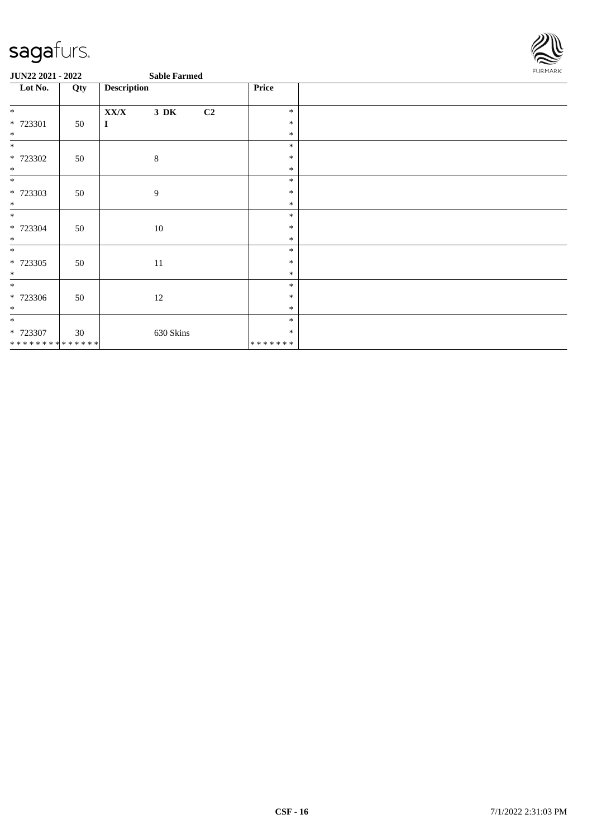

| Lot No.        | Qty | <b>Description</b> |           | Price |         |  |
|----------------|-----|--------------------|-----------|-------|---------|--|
| $*$            |     | XX/X               | $3\,$ DK  | C2    | $\ast$  |  |
| * 723301       |     |                    |           |       | $\ast$  |  |
| $*$            | 50  | $\mathbf I$        |           |       | $\ast$  |  |
|                |     |                    |           |       |         |  |
| $\ast$         |     |                    |           |       | $\ast$  |  |
| * 723302       | 50  |                    | $\,8\,$   |       | $\ast$  |  |
| $*$            |     |                    |           |       | $\ast$  |  |
| $\ast$         |     |                    |           |       | $\ast$  |  |
| * 723303       | 50  |                    | 9         |       | $\ast$  |  |
| $\ast$         |     |                    |           |       | $\ast$  |  |
| $\ast$         |     |                    |           |       | $\ast$  |  |
| $* 723304$     | 50  |                    | 10        |       | $\ast$  |  |
| $\ast$         |     |                    |           |       | $\ast$  |  |
| $\ast$         |     |                    |           |       | $\ast$  |  |
| $* 723305$     | 50  |                    | 11        |       | $\ast$  |  |
| $\ast$         |     |                    |           |       | $\ast$  |  |
| $\ast$         |     |                    |           |       | $\ast$  |  |
| * 723306       | 50  |                    | $12\,$    |       | $\ast$  |  |
| $\ast$         |     |                    |           |       | $\ast$  |  |
| $\ast$         |     |                    |           |       | $\ast$  |  |
| * 723307       | 30  |                    | 630 Skins |       | $\ast$  |  |
| ************** |     |                    |           |       | ******* |  |